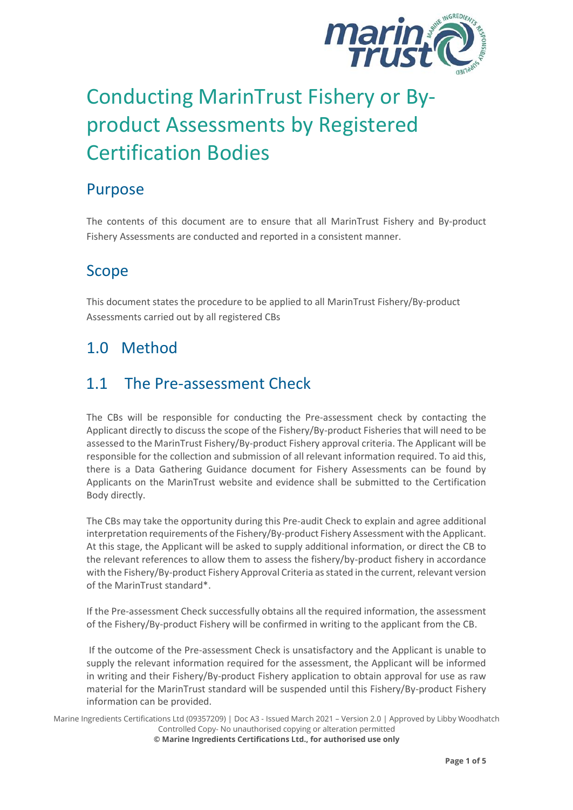

# Conducting MarinTrust Fishery or Byproduct Assessments by Registered Certification Bodies

#### Purpose

The contents of this document are to ensure that all MarinTrust Fishery and By-product Fishery Assessments are conducted and reported in a consistent manner.

# Scope

This document states the procedure to be applied to all MarinTrust Fishery/By-product Assessments carried out by all registered CBs

# 1.0 Method

### 1.1 The Pre-assessment Check

The CBs will be responsible for conducting the Pre-assessment check by contacting the Applicant directly to discuss the scope of the Fishery/By-product Fisheries that will need to be assessed to the MarinTrust Fishery/By-product Fishery approval criteria. The Applicant will be responsible for the collection and submission of all relevant information required. To aid this, there is a Data Gathering Guidance document for Fishery Assessments can be found by Applicants on the MarinTrust website and evidence shall be submitted to the Certification Body directly.

The CBs may take the opportunity during this Pre-audit Check to explain and agree additional interpretation requirements of the Fishery/By-product Fishery Assessment with the Applicant. At this stage, the Applicant will be asked to supply additional information, or direct the CB to the relevant references to allow them to assess the fishery/by-product fishery in accordance with the Fishery/By-product Fishery Approval Criteria as stated in the current, relevant version of the MarinTrust standard\*.

If the Pre-assessment Check successfully obtains all the required information, the assessment of the Fishery/By-product Fishery will be confirmed in writing to the applicant from the CB.

If the outcome of the Pre-assessment Check is unsatisfactory and the Applicant is unable to supply the relevant information required for the assessment, the Applicant will be informed in writing and their Fishery/By-product Fishery application to obtain approval for use as raw material for the MarinTrust standard will be suspended until this Fishery/By-product Fishery information can be provided.

Marine Ingredients Certifications Ltd (09357209) | Doc A3 - Issued March 2021 – Version 2.0 | Approved by Libby Woodhatch Controlled Copy- No unauthorised copying or alteration permitted **© Marine Ingredients Certifications Ltd., for authorised use only**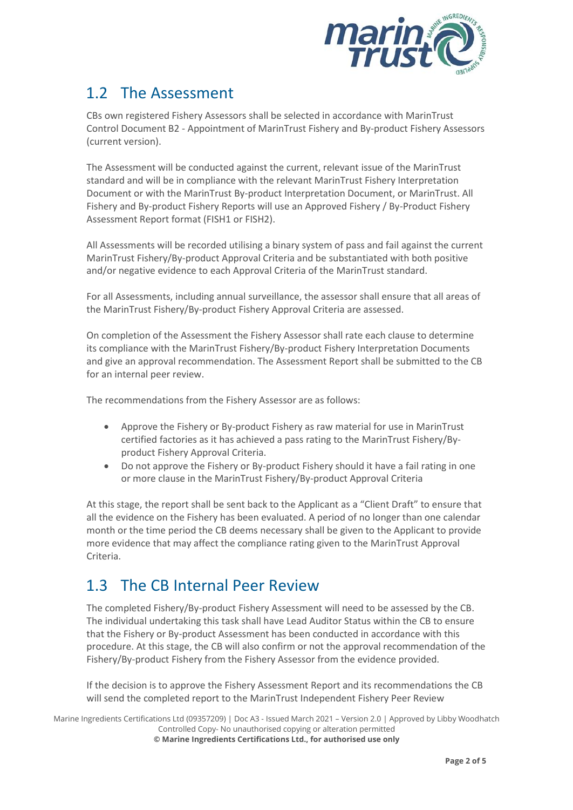

# 1.2 The Assessment

CBs own registered Fishery Assessors shall be selected in accordance with MarinTrust Control Document B2 - Appointment of MarinTrust Fishery and By-product Fishery Assessors (current version).

The Assessment will be conducted against the current, relevant issue of the MarinTrust standard and will be in compliance with the relevant MarinTrust Fishery Interpretation Document or with the MarinTrust By-product Interpretation Document, or MarinTrust. All Fishery and By-product Fishery Reports will use an Approved Fishery / By-Product Fishery Assessment Report format (FISH1 or FISH2).

All Assessments will be recorded utilising a binary system of pass and fail against the current MarinTrust Fishery/By-product Approval Criteria and be substantiated with both positive and/or negative evidence to each Approval Criteria of the MarinTrust standard.

For all Assessments, including annual surveillance, the assessor shall ensure that all areas of the MarinTrust Fishery/By-product Fishery Approval Criteria are assessed.

On completion of the Assessment the Fishery Assessor shall rate each clause to determine its compliance with the MarinTrust Fishery/By-product Fishery Interpretation Documents and give an approval recommendation. The Assessment Report shall be submitted to the CB for an internal peer review.

The recommendations from the Fishery Assessor are as follows:

- Approve the Fishery or By-product Fishery as raw material for use in MarinTrust certified factories as it has achieved a pass rating to the MarinTrust Fishery/Byproduct Fishery Approval Criteria.
- Do not approve the Fishery or By-product Fishery should it have a fail rating in one or more clause in the MarinTrust Fishery/By-product Approval Criteria

At this stage, the report shall be sent back to the Applicant as a "Client Draft" to ensure that all the evidence on the Fishery has been evaluated. A period of no longer than one calendar month or the time period the CB deems necessary shall be given to the Applicant to provide more evidence that may affect the compliance rating given to the MarinTrust Approval Criteria.

# 1.3 The CB Internal Peer Review

The completed Fishery/By-product Fishery Assessment will need to be assessed by the CB. The individual undertaking this task shall have Lead Auditor Status within the CB to ensure that the Fishery or By-product Assessment has been conducted in accordance with this procedure. At this stage, the CB will also confirm or not the approval recommendation of the Fishery/By-product Fishery from the Fishery Assessor from the evidence provided.

If the decision is to approve the Fishery Assessment Report and its recommendations the CB will send the completed report to the MarinTrust Independent Fishery Peer Review

Marine Ingredients Certifications Ltd (09357209) | Doc A3 - Issued March 2021 – Version 2.0 | Approved by Libby Woodhatch Controlled Copy- No unauthorised copying or alteration permitted **© Marine Ingredients Certifications Ltd., for authorised use only**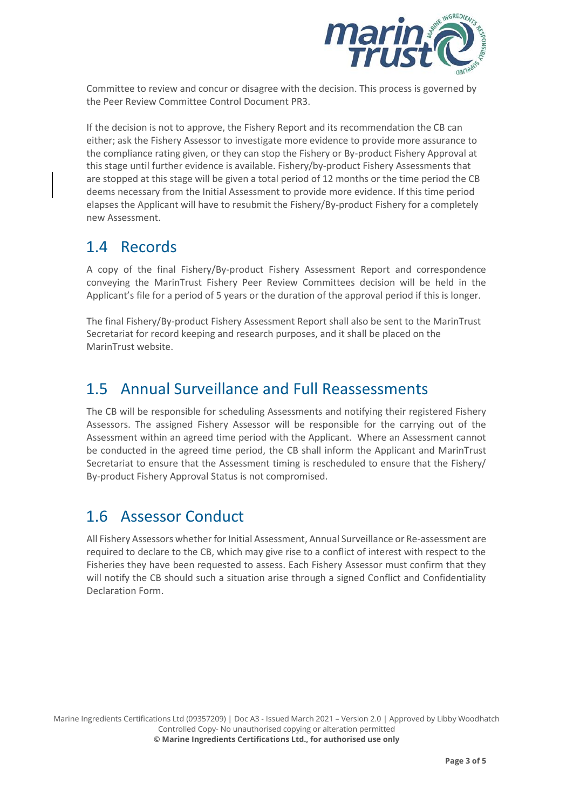

Committee to review and concur or disagree with the decision. This process is governed by the Peer Review Committee Control Document PR3.

If the decision is not to approve, the Fishery Report and its recommendation the CB can either; ask the Fishery Assessor to investigate more evidence to provide more assurance to the compliance rating given, or they can stop the Fishery or By-product Fishery Approval at this stage until further evidence is available. Fishery/by-product Fishery Assessments that are stopped at this stage will be given a total period of 12 months or the time period the CB deems necessary from the Initial Assessment to provide more evidence. If this time period elapses the Applicant will have to resubmit the Fishery/By-product Fishery for a completely new Assessment.

#### 1.4 Records

A copy of the final Fishery/By-product Fishery Assessment Report and correspondence conveying the MarinTrust Fishery Peer Review Committees decision will be held in the Applicant's file for a period of 5 years or the duration of the approval period if this is longer.

The final Fishery/By-product Fishery Assessment Report shall also be sent to the MarinTrust Secretariat for record keeping and research purposes, and it shall be placed on the MarinTrust website.

#### 1.5 Annual Surveillance and Full Reassessments

The CB will be responsible for scheduling Assessments and notifying their registered Fishery Assessors. The assigned Fishery Assessor will be responsible for the carrying out of the Assessment within an agreed time period with the Applicant. Where an Assessment cannot be conducted in the agreed time period, the CB shall inform the Applicant and MarinTrust Secretariat to ensure that the Assessment timing is rescheduled to ensure that the Fishery/ By-product Fishery Approval Status is not compromised.

#### 1.6 Assessor Conduct

All Fishery Assessors whether for Initial Assessment, Annual Surveillance or Re-assessment are required to declare to the CB, which may give rise to a conflict of interest with respect to the Fisheries they have been requested to assess. Each Fishery Assessor must confirm that they will notify the CB should such a situation arise through a signed Conflict and Confidentiality Declaration Form.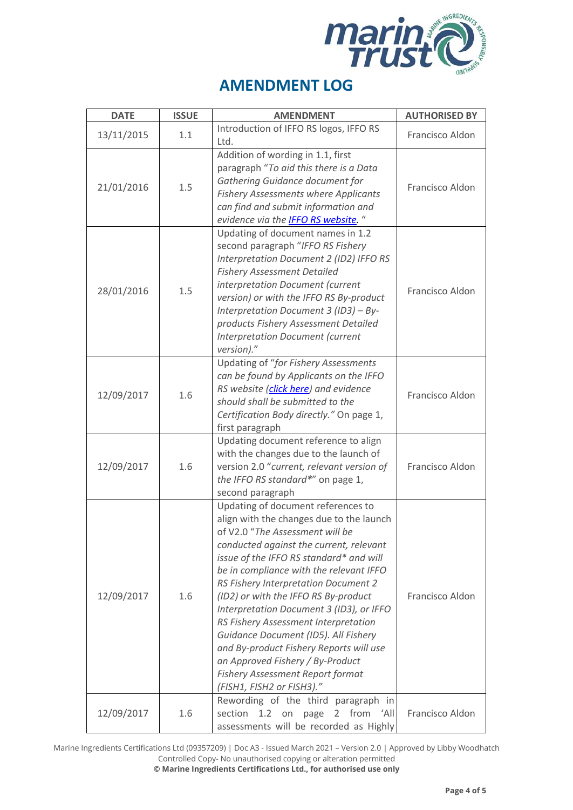

| <b>DATE</b> | <b>ISSUE</b> | <b>AMENDMENT</b>                                                                                                                                                                                                                                                                                                                                                                                                                                                                                                                                                                                                      | <b>AUTHORISED BY</b> |
|-------------|--------------|-----------------------------------------------------------------------------------------------------------------------------------------------------------------------------------------------------------------------------------------------------------------------------------------------------------------------------------------------------------------------------------------------------------------------------------------------------------------------------------------------------------------------------------------------------------------------------------------------------------------------|----------------------|
| 13/11/2015  | 1.1          | Introduction of IFFO RS logos, IFFO RS<br>Ltd.                                                                                                                                                                                                                                                                                                                                                                                                                                                                                                                                                                        | Francisco Aldon      |
| 21/01/2016  | 1.5          | Addition of wording in 1.1, first<br>paragraph "To aid this there is a Data<br>Gathering Guidance document for<br><b>Fishery Assessments where Applicants</b><br>can find and submit information and<br>evidence via the <b>IFFO RS website</b> . "                                                                                                                                                                                                                                                                                                                                                                   | Francisco Aldon      |
| 28/01/2016  | 1.5          | Updating of document names in 1.2<br>second paragraph "IFFO RS Fishery<br>Interpretation Document 2 (ID2) IFFO RS<br><b>Fishery Assessment Detailed</b><br>interpretation Document (current<br>version) or with the IFFO RS By-product<br>Interpretation Document 3 (ID3) - By-<br>products Fishery Assessment Detailed<br><b>Interpretation Document (current</b><br>version)."                                                                                                                                                                                                                                      | Francisco Aldon      |
| 12/09/2017  | 1.6          | Updating of "for Fishery Assessments<br>can be found by Applicants on the IFFO<br>RS website (click here) and evidence<br>should shall be submitted to the<br>Certification Body directly." On page 1,<br>first paragraph                                                                                                                                                                                                                                                                                                                                                                                             | Francisco Aldon      |
| 12/09/2017  | 1.6          | Updating document reference to align<br>with the changes due to the launch of<br>version 2.0 "current, relevant version of<br>the IFFO RS standard*" on page 1,<br>second paragraph                                                                                                                                                                                                                                                                                                                                                                                                                                   | Francisco Aldon      |
| 12/09/2017  | 1.6          | Updating of document references to<br>align with the changes due to the launch<br>of V2.0 "The Assessment will be<br>conducted against the current, relevant<br>issue of the IFFO RS standard* and will<br>be in compliance with the relevant IFFO<br>RS Fishery Interpretation Document 2<br>(ID2) or with the IFFO RS By-product<br>Interpretation Document 3 (ID3), or IFFO<br>RS Fishery Assessment Interpretation<br>Guidance Document (ID5). All Fishery<br>and By-product Fishery Reports will use<br>an Approved Fishery / By-Product<br><b>Fishery Assessment Report format</b><br>(FISH1, FISH2 or FISH3)." | Francisco Aldon      |
| 12/09/2017  | 1.6          | Rewording of the third paragraph in<br>section<br>from 'All<br>1.2<br>on<br>page<br>2<br>assessments will be recorded as Highly                                                                                                                                                                                                                                                                                                                                                                                                                                                                                       | Francisco Aldon      |

Marine Ingredients Certifications Ltd (09357209) | Doc A3 - Issued March 2021 – Version 2.0 | Approved by Libby Woodhatch Controlled Copy- No unauthorised copying or alteration permitted

**© Marine Ingredients Certifications Ltd., for authorised use only**